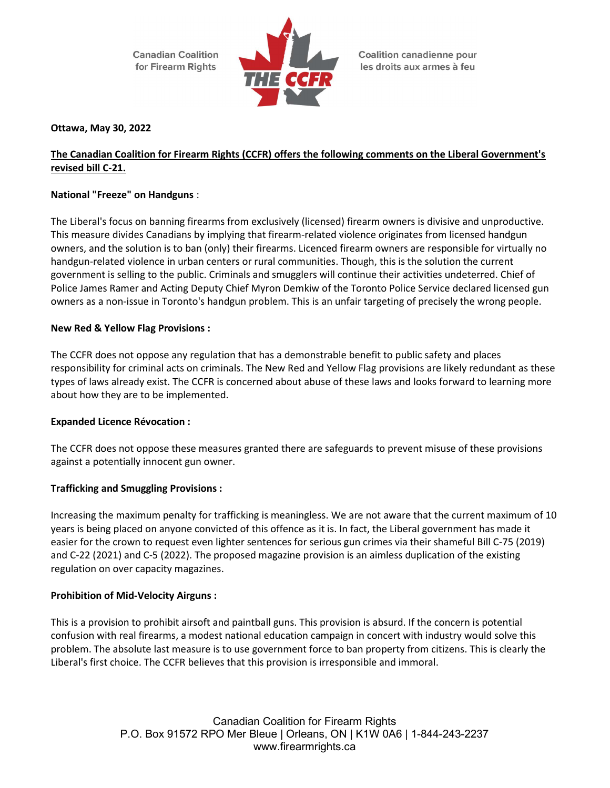**Canadian Coalition** for Firearm Rights



**Coalition canadienne pour** les droits aux armes à feu

# Ottawa, May 30, 2022

# The Canadian Coalition for Firearm Rights (CCFR) offers the following comments on the Liberal Government's revised bill C-21.

# National "Freeze" on Handguns :

The Liberal's focus on banning firearms from exclusively (licensed) firearm owners is divisive and unproductive. This measure divides Canadians by implying that firearm-related violence originates from licensed handgun owners, and the solution is to ban (only) their firearms. Licenced firearm owners are responsible for virtually no handgun-related violence in urban centers or rural communities. Though, this is the solution the current government is selling to the public. Criminals and smugglers will continue their activities undeterred. Chief of Police James Ramer and Acting Deputy Chief Myron Demkiw of the Toronto Police Service declared licensed gun owners as a non-issue in Toronto's handgun problem. This is an unfair targeting of precisely the wrong people.

### New Red & Yellow Flag Provisions :

The CCFR does not oppose any regulation that has a demonstrable benefit to public safety and places responsibility for criminal acts on criminals. The New Red and Yellow Flag provisions are likely redundant as these types of laws already exist. The CCFR is concerned about abuse of these laws and looks forward to learning more about how they are to be implemented.

#### Expanded Licence Révocation :

The CCFR does not oppose these measures granted there are safeguards to prevent misuse of these provisions against a potentially innocent gun owner.

#### Trafficking and Smuggling Provisions :

Increasing the maximum penalty for trafficking is meaningless. We are not aware that the current maximum of 10 years is being placed on anyone convicted of this offence as it is. In fact, the Liberal government has made it easier for the crown to request even lighter sentences for serious gun crimes via their shameful Bill C-75 (2019) and C-22 (2021) and C-5 (2022). The proposed magazine provision is an aimless duplication of the existing regulation on over capacity magazines.

#### Prohibition of Mid-Velocity Airguns :

This is a provision to prohibit airsoft and paintball guns. This provision is absurd. If the concern is potential confusion with real firearms, a modest national education campaign in concert with industry would solve this problem. The absolute last measure is to use government force to ban property from citizens. This is clearly the Liberal's first choice. The CCFR believes that this provision is irresponsible and immoral.

> Canadian Coalition for Firearm Rights P.O. Box 91572 RPO Mer Bleue | Orleans, ON | K1W 0A6 | 1-844-243-2237 www.firearmrights.ca